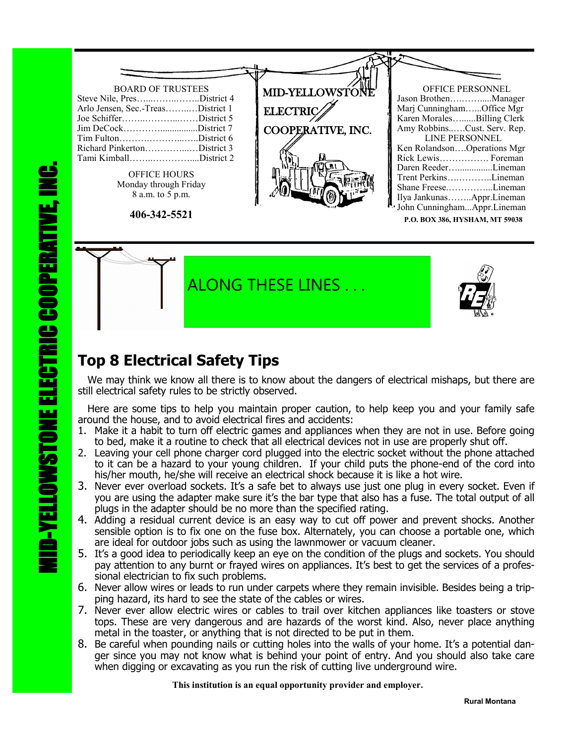

ALONG THESE LINES .

## **Top 8 Electrical Safety Tips**

 We may think we know all there is to know about the dangers of electrical mishaps, but there are still electrical safety rules to be strictly observed.

 Here are some tips to help you maintain proper caution, to help keep you and your family safe around the house, and to avoid electrical fires and accidents:

- 1. Make it a habit to turn off electric games and appliances when they are not in use. Before going to bed, make it a routine to check that all electrical devices not in use are properly shut off.
- 2. Leaving your cell phone charger cord plugged into the electric socket without the phone attached to it can be a hazard to your young children. If your child puts the phone-end of the cord into his/her mouth, he/she will receive an electrical shock because it is like a hot wire.
- 3. Never ever overload sockets. It's a safe bet to always use just one plug in every socket. Even if you are using the adapter make sure it's the bar type that also has a fuse. The total output of all plugs in the adapter should be no more than the specified rating.
- 4. Adding a residual current device is an easy way to cut off power and prevent shocks. Another sensible option is to fix one on the fuse box. Alternately, you can choose a portable one, which are ideal for outdoor jobs such as using the lawnmower or vacuum cleaner.
- 5. It's a good idea to periodically keep an eye on the condition of the plugs and sockets. You should pay attention to any burnt or frayed wires on appliances. It's best to get the services of a professional electrician to fix such problems.
- 6. Never allow wires or leads to run under carpets where they remain invisible. Besides being a tripping hazard, its hard to see the state of the cables or wires.
- 7. Never ever allow electric wires or cables to trail over kitchen appliances like toasters or stove tops. These are very dangerous and are hazards of the worst kind. Also, never place anything metal in the toaster, or anything that is not directed to be put in them.
- 8. Be careful when pounding nails or cutting holes into the walls of your home. It's a potential danger since you may not know what is behind your point of entry. And you should also take care when digging or excavating as you run the risk of cutting live underground wire.

 **This institution is an equal opportunity provider and employer.**